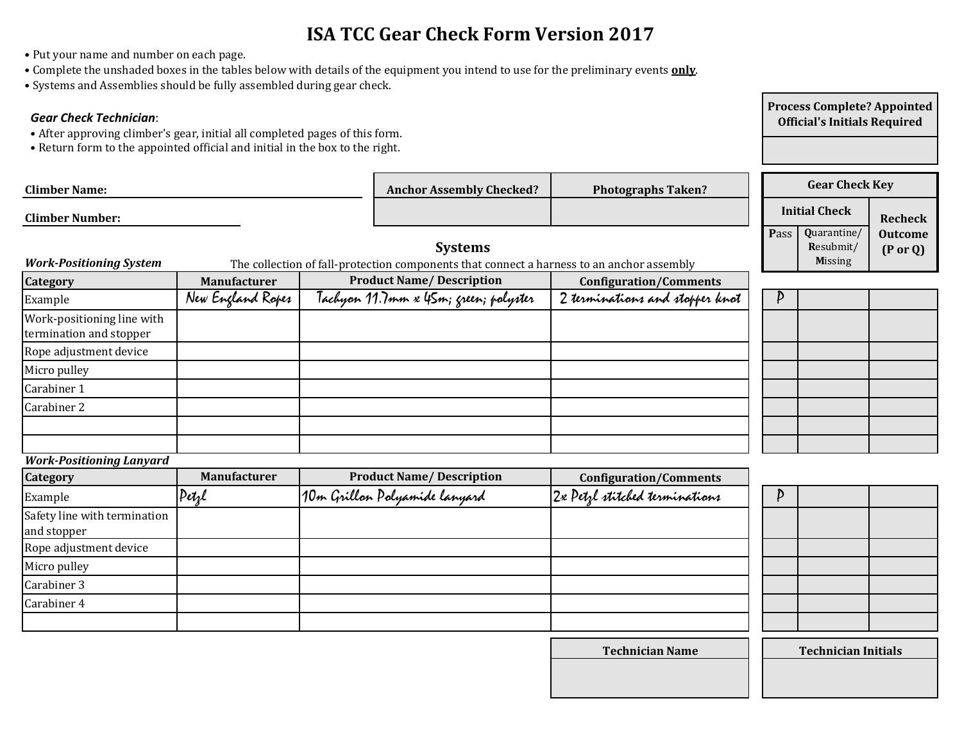# **ISA TCC Gear Check Form Version 2017**

- Put your name and number on each page.
- Complete the unshaded boxes in the tables below with details of the equipment you intend to use for the preliminary events **only**.
- Systems and Assemblies should be fully assembled during gear check.

### *Gear Check Technician*:

- After approving climber's gear, initial all completed pages of this form.
- Return form to the appointed official and initial in the box to the right.

| <b>Climber Name:</b>                                  |                     | <b>Anchor Assembly Checked?</b>                                                                             | <b>Photographs Taken?</b>       |             | <b>Gear Check Key</b>                      |                                       |
|-------------------------------------------------------|---------------------|-------------------------------------------------------------------------------------------------------------|---------------------------------|-------------|--------------------------------------------|---------------------------------------|
| <b>Climber Number:</b>                                |                     |                                                                                                             |                                 |             | <b>Initial Check</b>                       | Recheck                               |
| <b>Work-Positioning System</b>                        |                     | <b>Systems</b><br>The collection of fall-protection components that connect a harness to an anchor assembly |                                 | <b>Pass</b> | Quarantine/<br>Resubmit/<br><b>Missing</b> | <b>Outcome</b><br>$(P \text{ or } Q)$ |
| <b>Category</b>                                       | <b>Manufacturer</b> | <b>Product Name/Description</b>                                                                             | <b>Configuration/Comments</b>   |             |                                            |                                       |
| Example                                               | New England Ropes   | Tachyon 11.7mm x 45m; green; polyster                                                                       | 2 terminations and stopper knot | D           |                                            |                                       |
| Work-positioning line with<br>termination and stopper |                     |                                                                                                             |                                 |             |                                            |                                       |
| Rope adjustment device                                |                     |                                                                                                             |                                 |             |                                            |                                       |
| Micro pulley                                          |                     |                                                                                                             |                                 |             |                                            |                                       |
| Carabiner 1                                           |                     |                                                                                                             |                                 |             |                                            |                                       |
| Carabiner 2                                           |                     |                                                                                                             |                                 |             |                                            |                                       |
|                                                       |                     |                                                                                                             |                                 |             |                                            |                                       |

*Work-Positioning Lanyard*

| Category                                    | <b>Manufacturer</b> | <b>Product Name/Description</b> | <b>Configuration/Comments</b>  |
|---------------------------------------------|---------------------|---------------------------------|--------------------------------|
| Example                                     | Petrl               | 10m Grillon Polyamide lanyard   | 2x Petzl stitched terminations |
| Safety line with termination<br>and stopper |                     |                                 |                                |
| Rope adjustment device                      |                     |                                 |                                |
| Micro pulley                                |                     |                                 |                                |
| Carabiner 3                                 |                     |                                 |                                |
| Carabiner 4                                 |                     |                                 |                                |
|                                             |                     |                                 |                                |

**Process Complete? Appointed Official's Initials Required**

**Technician Name Technician Initials**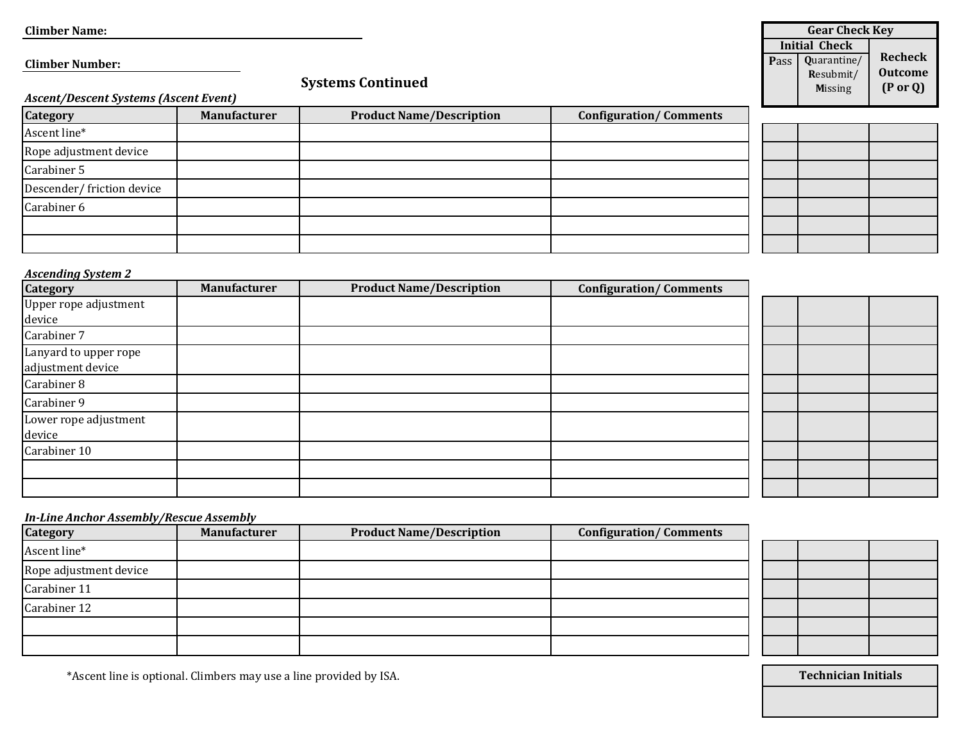| <b>Climber Name:</b>                  |                     |                                 |                               |      | <b>Gear Check Key</b> |                     |
|---------------------------------------|---------------------|---------------------------------|-------------------------------|------|-----------------------|---------------------|
|                                       |                     |                                 |                               |      | <b>Initial Check</b>  |                     |
| <b>Climber Number:</b>                |                     |                                 |                               | Pass | Quarantine/           | <b>Recheck</b>      |
|                                       |                     |                                 |                               |      | Resubmit/             | <b>Outcome</b>      |
|                                       |                     | <b>Systems Continued</b>        |                               |      | <b>Missing</b>        | $(P \text{ or } Q)$ |
| Ascent/Descent Systems (Ascent Event) |                     |                                 |                               |      |                       |                     |
| Category                              | <b>Manufacturer</b> | <b>Product Name/Description</b> | <b>Configuration/Comments</b> |      |                       |                     |
| Ascent line*                          |                     |                                 |                               |      |                       |                     |
| Rope adjustment device                |                     |                                 |                               |      |                       |                     |
| Carabiner 5                           |                     |                                 |                               |      |                       |                     |

## *Ascending System 2*

Carabiner 6

Descender/ friction device

| <b>Category</b>                            | <b>Manufacturer</b> | <b>Product Name/Description</b> | <b>Configuration/Comments</b> |  |  |
|--------------------------------------------|---------------------|---------------------------------|-------------------------------|--|--|
| Upper rope adjustment<br>device            |                     |                                 |                               |  |  |
| Carabiner 7                                |                     |                                 |                               |  |  |
| Lanyard to upper rope<br>adjustment device |                     |                                 |                               |  |  |
| Carabiner 8                                |                     |                                 |                               |  |  |
| Carabiner 9                                |                     |                                 |                               |  |  |
| Lower rope adjustment<br>device            |                     |                                 |                               |  |  |
| Carabiner 10                               |                     |                                 |                               |  |  |
|                                            |                     |                                 |                               |  |  |
|                                            |                     |                                 |                               |  |  |

#### *In-Line Anchor Assembly/Rescue Assembly*

| <b>Category</b>        | <b>Manufacturer</b> | <b>Product Name/Description</b> | <b>Configuration/Comments</b> |
|------------------------|---------------------|---------------------------------|-------------------------------|
| Ascent line*           |                     |                                 |                               |
| Rope adjustment device |                     |                                 |                               |
| Carabiner 11           |                     |                                 |                               |
| Carabiner 12           |                     |                                 |                               |
|                        |                     |                                 |                               |
|                        |                     |                                 |                               |

e<br>Li

\*Ascent line is optional. Climbers may use a line provided by ISA. **Technician Initials Technician Initials**